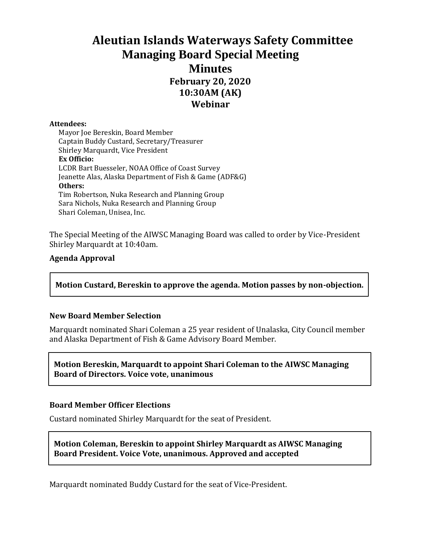# **Aleutian Islands Waterways Safety Committee Managing Board Special Meeting Minutes February 20, 2020 10:30AM (AK) Webinar**

#### **Attendees:**

Mayor Joe Bereskin, Board Member Captain Buddy Custard, Secretary/Treasurer Shirley Marquardt, Vice President **Ex Officio:** LCDR Bart Buesseler, NOAA Office of Coast Survey Jeanette Alas, Alaska Department of Fish & Game (ADF&G) **Others:** Tim Robertson, Nuka Research and Planning Group Sara Nichols, Nuka Research and Planning Group Shari Coleman, Unisea, Inc.

The Special Meeting of the AIWSC Managing Board was called to order by Vice-President Shirley Marquardt at 10:40am.

### **Agenda Approval**

**Motion Custard, Bereskin to approve the agenda. Motion passes by non-objection.**

### **New Board Member Selection**

Marquardt nominated Shari Coleman a 25 year resident of Unalaska, City Council member and Alaska Department of Fish & Game Advisory Board Member.

**Motion Bereskin, Marquardt to appoint Shari Coleman to the AIWSC Managing Board of Directors. Voice vote, unanimous**

### **Board Member Officer Elections**

Custard nominated Shirley Marquardt for the seat of President.

**Motion Coleman, Bereskin to appoint Shirley Marquardt as AIWSC Managing Board President. Voice Vote, unanimous. Approved and accepted**

Marquardt nominated Buddy Custard for the seat of Vice-President.